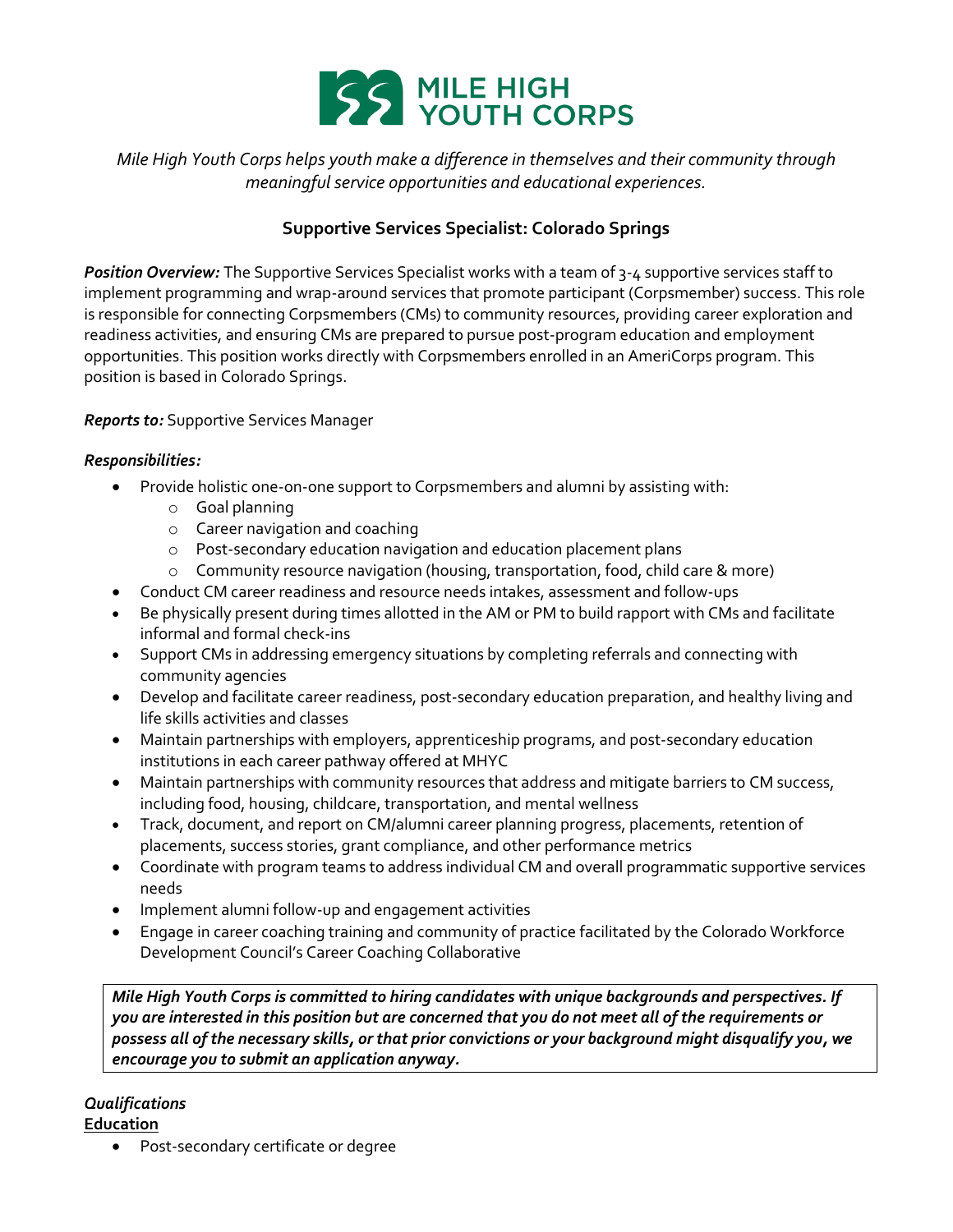

# *Mile High Youth Corps helps youth make a difference in themselves and their community through meaningful service opportunities and educational experiences.*

# **Supportive Services Specialist: Colorado Springs**

*Position Overview:* The Supportive Services Specialist works with a team of 3-4 supportive services staff to implement programming and wrap-around services that promote participant (Corpsmember) success. This role is responsible for connecting Corpsmembers (CMs) to community resources, providing career exploration and readiness activities, and ensuring CMs are prepared to pursue post-program education and employment opportunities. This position works directly with Corpsmembers enrolled in an AmeriCorps program. This position is based in Colorado Springs.

### *Reports to:* Supportive Services Manager

#### *Responsibilities:*

- Provide holistic one-on-one support to Corpsmembers and alumni by assisting with:
	- o Goal planning
	- o Career navigation and coaching
	- o Post-secondary education navigation and education placement plans
	- o Community resource navigation (housing, transportation, food, child care & more)
- Conduct CM career readiness and resource needs intakes, assessment and follow-ups
- Be physically present during times allotted in the AM or PM to build rapport with CMs and facilitate informal and formal check-ins
- Support CMs in addressing emergency situations by completing referrals and connecting with community agencies
- Develop and facilitate career readiness, post-secondary education preparation, and healthy living and life skills activities and classes
- Maintain partnerships with employers, apprenticeship programs, and post-secondary education institutions in each career pathway offered at MHYC
- Maintain partnerships with community resources that address and mitigate barriers to CM success, including food, housing, childcare, transportation, and mental wellness
- Track, document, and report on CM/alumni career planning progress, placements, retention of placements, success stories, grant compliance, and other performance metrics
- Coordinate with program teams to address individual CM and overall programmatic supportive services needs
- Implement alumni follow-up and engagement activities
- Engage in career coaching training and community of practice facilitated by the Colorado Workforce Development Council's Career Coaching Collaborative

*Mile High Youth Corps is committed to hiring candidates with unique backgrounds and perspectives. If you are interested in this position but are concerned that you do not meet all of the requirements or possess all of the necessary skills, or that prior convictions or your background might disqualify you, we encourage you to submit an application anyway.*

## *Qualifications*

**Education**

Post-secondary certificate or degree